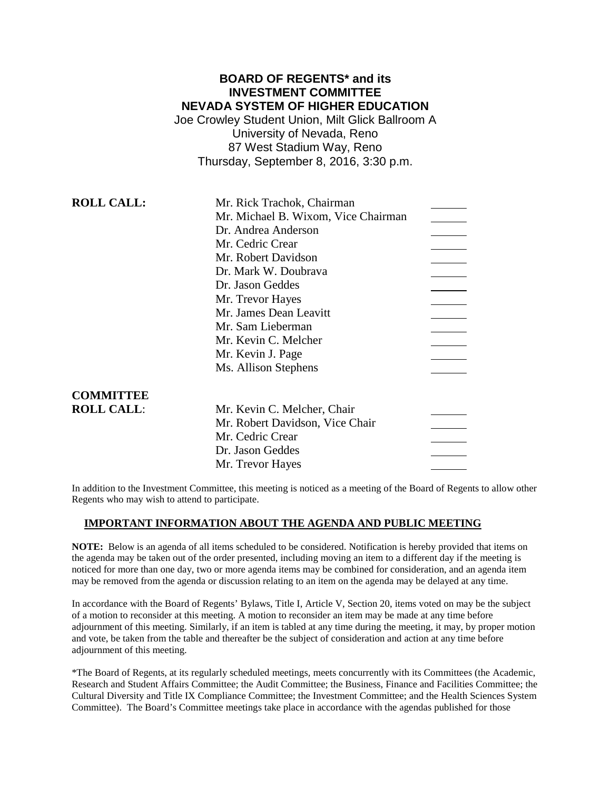# **BOARD OF REGENTS\* and its INVESTMENT COMMITTEE NEVADA SYSTEM OF HIGHER EDUCATION**

Joe Crowley Student Union, Milt Glick Ballroom A University of Nevada, Reno 87 West Stadium Way, Reno Thursday, September 8, 2016, 3:30 p.m.

| <b>ROLL CALL:</b> | Mr. Rick Trachok, Chairman          |
|-------------------|-------------------------------------|
|                   | Mr. Michael B. Wixom, Vice Chairman |
|                   | Dr. Andrea Anderson                 |
|                   | Mr. Cedric Crear                    |
|                   | Mr. Robert Davidson                 |
|                   | Dr. Mark W. Doubrava                |
|                   | Dr. Jason Geddes                    |
|                   | Mr. Trevor Hayes                    |
|                   | Mr. James Dean Leavitt              |
|                   | Mr. Sam Lieberman                   |
|                   | Mr. Kevin C. Melcher                |
|                   | Mr. Kevin J. Page                   |
|                   | Ms. Allison Stephens                |
|                   |                                     |
| <b>COMMITTEE</b>  |                                     |
| <b>ROLL CALL:</b> | Mr. Kevin C. Melcher, Chair         |
|                   | Mr. Robert Davidson, Vice Chair     |
|                   | Mr. Cedric Crear                    |
|                   | Dr. Jason Geddes                    |
|                   | Mr. Trevor Hayes                    |
|                   |                                     |

In addition to the Investment Committee, this meeting is noticed as a meeting of the Board of Regents to allow other Regents who may wish to attend to participate.

### **IMPORTANT INFORMATION ABOUT THE AGENDA AND PUBLIC MEETING**

**NOTE:** Below is an agenda of all items scheduled to be considered. Notification is hereby provided that items on the agenda may be taken out of the order presented, including moving an item to a different day if the meeting is noticed for more than one day, two or more agenda items may be combined for consideration, and an agenda item may be removed from the agenda or discussion relating to an item on the agenda may be delayed at any time.

In accordance with the Board of Regents' Bylaws, Title I, Article V, Section 20, items voted on may be the subject of a motion to reconsider at this meeting. A motion to reconsider an item may be made at any time before adjournment of this meeting. Similarly, if an item is tabled at any time during the meeting, it may, by proper motion and vote, be taken from the table and thereafter be the subject of consideration and action at any time before adjournment of this meeting.

\*The Board of Regents, at its regularly scheduled meetings, meets concurrently with its Committees (the Academic, Research and Student Affairs Committee; the Audit Committee; the Business, Finance and Facilities Committee; the Cultural Diversity and Title IX Compliance Committee; the Investment Committee; and the Health Sciences System Committee). The Board's Committee meetings take place in accordance with the agendas published for those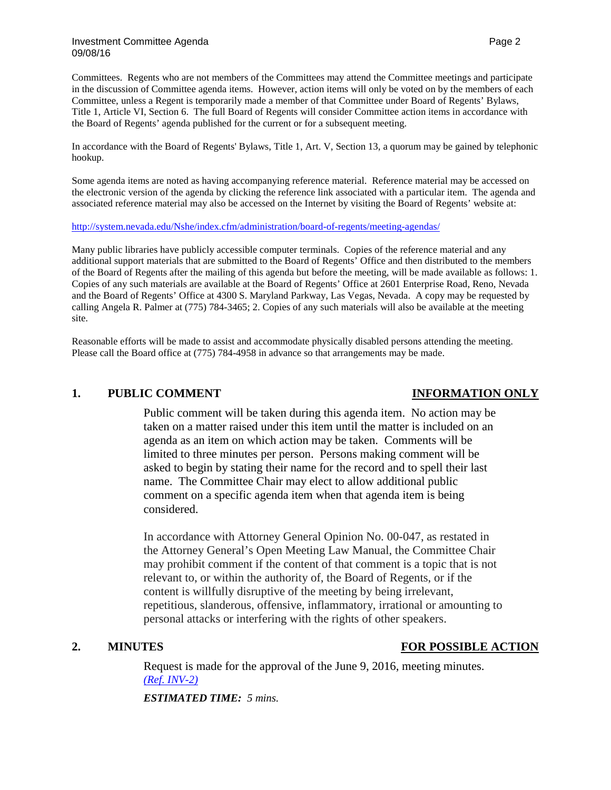Committees. Regents who are not members of the Committees may attend the Committee meetings and participate in the discussion of Committee agenda items. However, action items will only be voted on by the members of each Committee, unless a Regent is temporarily made a member of that Committee under Board of Regents' Bylaws, Title 1, Article VI, Section 6. The full Board of Regents will consider Committee action items in accordance with the Board of Regents' agenda published for the current or for a subsequent meeting.

In accordance with the Board of Regents' Bylaws, Title 1, Art. V, Section 13, a quorum may be gained by telephonic hookup.

Some agenda items are noted as having accompanying reference material. Reference material may be accessed on the electronic version of the agenda by clicking the reference link associated with a particular item. The agenda and associated reference material may also be accessed on the Internet by visiting the Board of Regents' website at:

### <http://system.nevada.edu/Nshe/index.cfm/administration/board-of-regents/meeting-agendas/>

Many public libraries have publicly accessible computer terminals. Copies of the reference material and any additional support materials that are submitted to the Board of Regents' Office and then distributed to the members of the Board of Regents after the mailing of this agenda but before the meeting, will be made available as follows: 1. Copies of any such materials are available at the Board of Regents' Office at 2601 Enterprise Road, Reno, Nevada and the Board of Regents' Office at 4300 S. Maryland Parkway, Las Vegas, Nevada. A copy may be requested by calling Angela R. Palmer at (775) 784-3465; 2. Copies of any such materials will also be available at the meeting site.

Reasonable efforts will be made to assist and accommodate physically disabled persons attending the meeting. Please call the Board office at (775) 784-4958 in advance so that arrangements may be made.

### **1. PUBLIC COMMENT INFORMATION ONLY**

Public comment will be taken during this agenda item. No action may be taken on a matter raised under this item until the matter is included on an agenda as an item on which action may be taken. Comments will be limited to three minutes per person. Persons making comment will be asked to begin by stating their name for the record and to spell their last name. The Committee Chair may elect to allow additional public comment on a specific agenda item when that agenda item is being considered.

In accordance with Attorney General Opinion No. 00-047, as restated in the Attorney General's Open Meeting Law Manual, the Committee Chair may prohibit comment if the content of that comment is a topic that is not relevant to, or within the authority of, the Board of Regents, or if the content is willfully disruptive of the meeting by being irrelevant, repetitious, slanderous, offensive, inflammatory, irrational or amounting to personal attacks or interfering with the rights of other speakers.

### **2. MINUTES FOR POSSIBLE ACTION**

Request is made for the approval of the June 9, 2016, meeting minutes. *[\(Ref. INV-2\)](http://system.nevada.edu/tasks/sites/Nshe/assets/File/BoardOfRegents/Agendas/2016/sept-mtgs/inv-refs/INV-2.pdf)*

*ESTIMATED TIME: 5 mins.*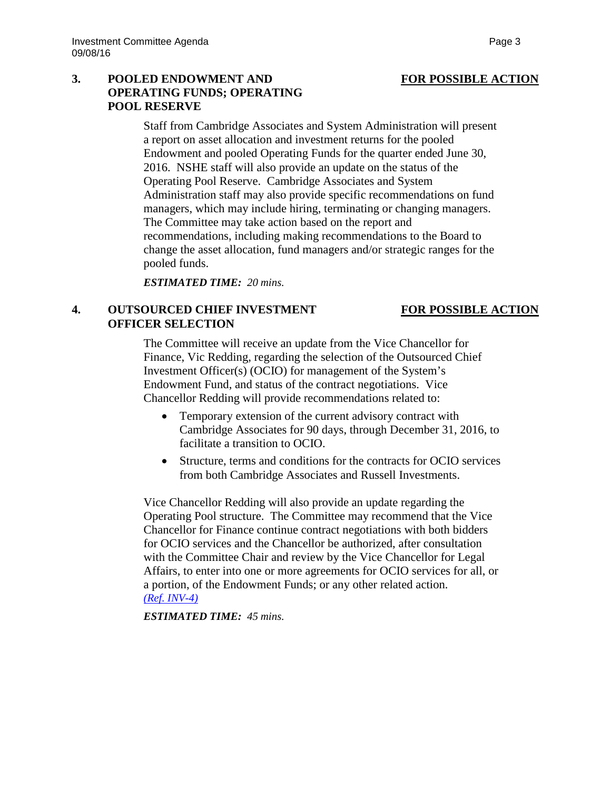# 3. **POOLED ENDOWMENT AND FOR POSSIBLE ACTION OPERATING FUNDS; OPERATING POOL RESERVE**

Staff from Cambridge Associates and System Administration will present a report on asset allocation and investment returns for the pooled Endowment and pooled Operating Funds for the quarter ended June 30, 2016. NSHE staff will also provide an update on the status of the Operating Pool Reserve. Cambridge Associates and System Administration staff may also provide specific recommendations on fund managers, which may include hiring, terminating or changing managers. The Committee may take action based on the report and recommendations, including making recommendations to the Board to change the asset allocation, fund managers and/or strategic ranges for the pooled funds.

*ESTIMATED TIME: 20 mins.*

## **4. OUTSOURCED CHIEF INVESTMENT FOR POSSIBLE ACTION OFFICER SELECTION**

The Committee will receive an update from the Vice Chancellor for Finance, Vic Redding, regarding the selection of the Outsourced Chief Investment Officer(s) (OCIO) for management of the System's Endowment Fund, and status of the contract negotiations. Vice Chancellor Redding will provide recommendations related to:

- Temporary extension of the current advisory contract with Cambridge Associates for 90 days, through December 31, 2016, to facilitate a transition to OCIO.
- Structure, terms and conditions for the contracts for OCIO services from both Cambridge Associates and Russell Investments.

Vice Chancellor Redding will also provide an update regarding the Operating Pool structure. The Committee may recommend that the Vice Chancellor for Finance continue contract negotiations with both bidders for OCIO services and the Chancellor be authorized, after consultation with the Committee Chair and review by the Vice Chancellor for Legal Affairs, to enter into one or more agreements for OCIO services for all, or a portion, of the Endowment Funds; or any other related action. *[\(Ref. INV-4\)](http://system.nevada.edu/tasks/sites/Nshe/assets/File/BoardOfRegents/Agendas/2016/sept-mtgs/inv-refs/INV-4.pdf)*

*ESTIMATED TIME: 45 mins.*